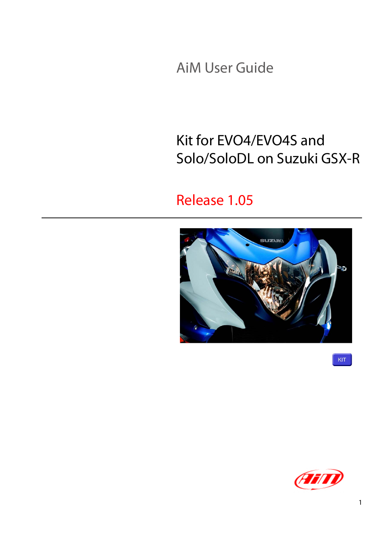AiM User Guide

#### Kit for EVO4/EVO4S and Solo/SoloDL on Suzuki GSX-R

#### Release 1.05



**KIT** 

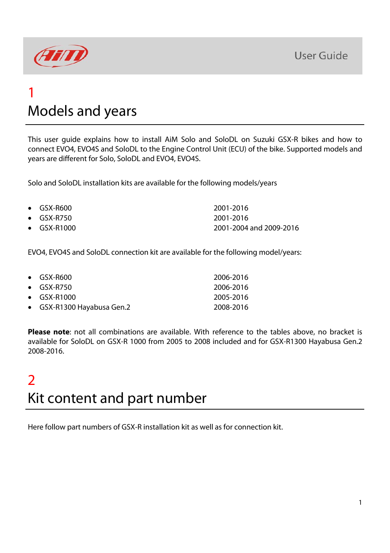

#### 1 Models and years

This user guide explains how to install AiM Solo and SoloDL on Suzuki GSX-R bikes and how to connect EVO4, EVO4S and SoloDL to the Engine Control Unit (ECU) of the bike. Supported models and years are different for Solo, SoloDL and EVO4, EVO4S.

Solo and SoloDL installation kits are available for the following models/years

| $\bullet$ GSX-R600  | 2001-2016               |
|---------------------|-------------------------|
| $\bullet$ GSX-R750  | 2001-2016               |
| $\bullet$ GSX-R1000 | 2001-2004 and 2009-2016 |

EVO4, EVO4S and SoloDL connection kit are available for the following model/years:

| $\bullet$ GSX-R600         | 2006-2016 |
|----------------------------|-----------|
| $\bullet$ GSX-R750         | 2006-2016 |
| $\bullet$ GSX-R1000        | 2005-2016 |
| • GSX-R1300 Hayabusa Gen.2 | 2008-2016 |

**Please note**: not all combinations are available. With reference to the tables above, no bracket is available for SoloDL on GSX-R 1000 from 2005 to 2008 included and for GSX-R1300 Hayabusa Gen.2 2008-2016.

#### 2 Kit content and part number

Here follow part numbers of GSX-R installation kit as well as for connection kit.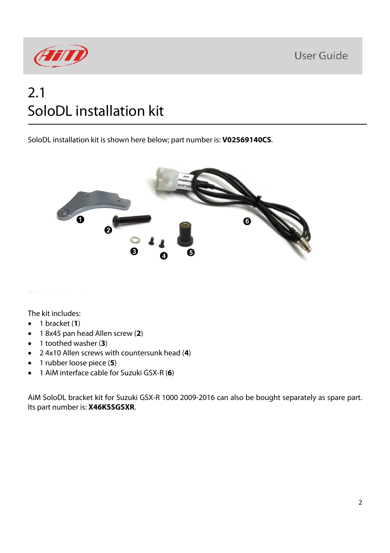

#### 2.1 SoloDL installation kit

SoloDL installation kit is shown here below; part number is: **V02569140CS**.



The kit includes:

- $\bullet$  1 bracket (1)
- 1 8x45 pan head Allen screw (**2**)
- 1 toothed washer (**3**)
- 2 4x10 Allen screws with countersunk head (**4**)
- 1 rubber loose piece (**5**)
- 1 AiM interface cable for Suzuki GSX-R (**6**)

AiM SoloDL bracket kit for Suzuki GSX-R 1000 2009-2016 can also be bought separately as spare part. Its part number is: **X46KSSGSXR**.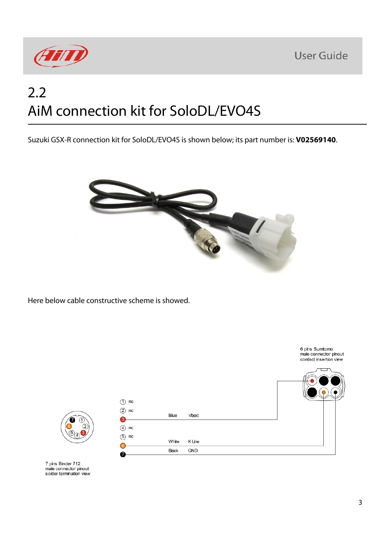



## 2.2 AiM connection kit for SoloDL/EVO4S

Suzuki GSX-R connection kit for SoloDL/EVO4S is shown below; its part number is: **V02569140**.



Here below cable constructive scheme is showed.



7 pins Binder 712<br>male connector pinout solder termination view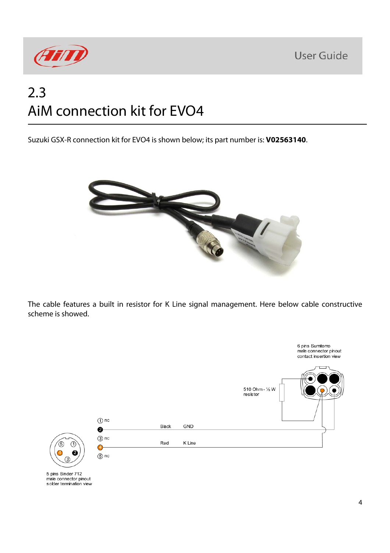

## 2.3 AiM connection kit for EVO4

Suzuki GSX-R connection kit for EVO4 is shown below; its part number is: **V02563140**.



The cable features a built in resistor for K Line signal management. Here below cable constructive scheme is showed.

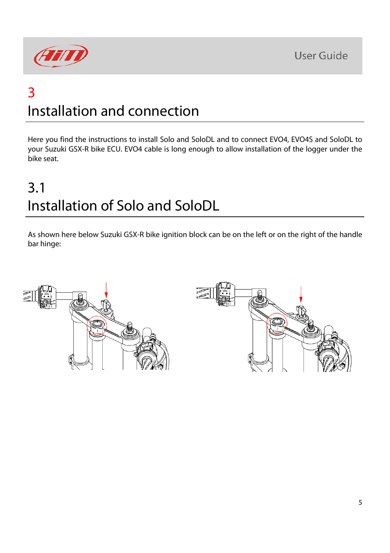

#### 3 Installation and connection

Here you find the instructions to install Solo and SoloDL and to connect EVO4, EVO4S and SoloDL to your Suzuki GSX-R bike ECU. EVO4 cable is long enough to allow installation of the logger under the bike seat.

## 3.1 Installation of Solo and SoloDL

As shown here below Suzuki GSX-R bike ignition block can be on the left or on the right of the handle bar hinge:

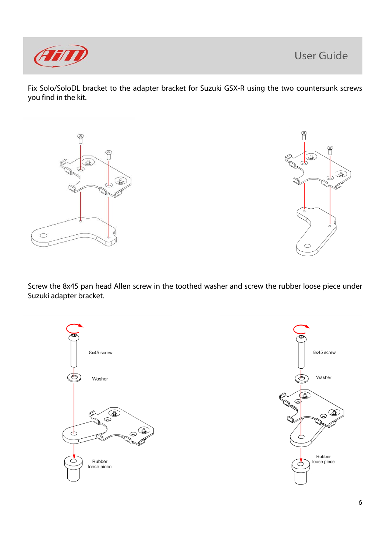

Fix Solo/SoloDL bracket to the adapter bracket for Suzuki GSX-R using the two countersunk screws you find in the kit.





Screw the 8x45 pan head Allen screw in the toothed washer and screw the rubber loose piece under Suzuki adapter bracket.



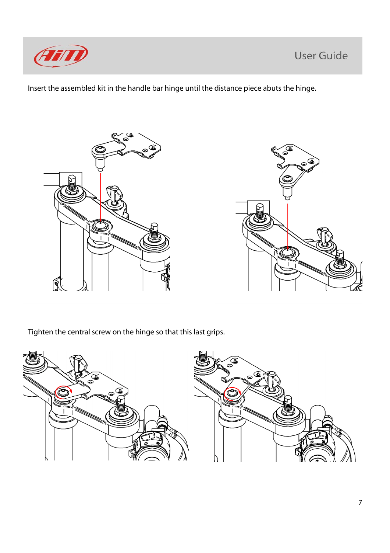

Insert the assembled kit in the handle bar hinge until the distance piece abuts the hinge.



Tighten the central screw on the hinge so that this last grips.

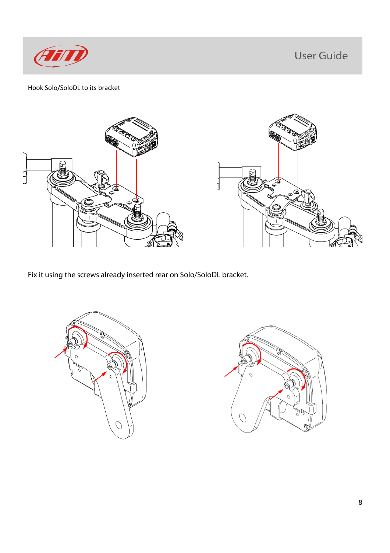

#### Hook Solo/SoloDL to its bracket



Fix it using the screws already inserted rear on Solo/SoloDL bracket.



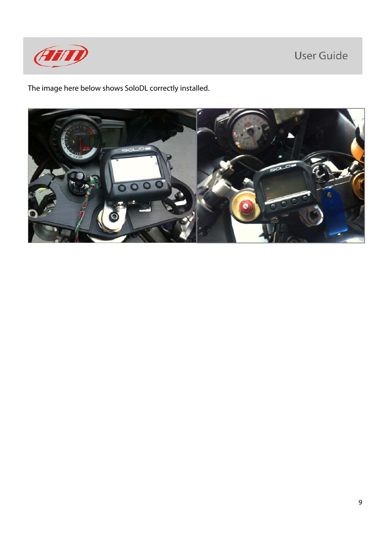

The image here below shows SoloDL correctly installed.

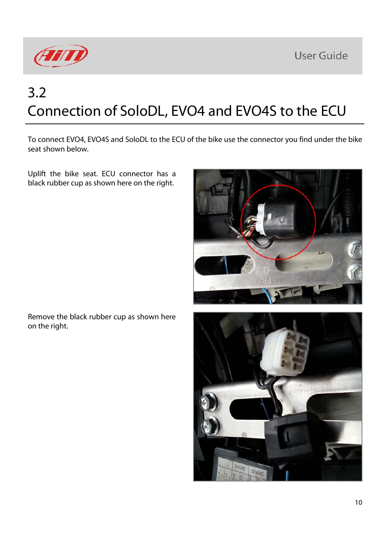

# 3.2 Connection of SoloDL, EVO4 and EVO4S to the ECU

To connect EVO4, EVO4S and SoloDL to the ECU of the bike use the connector you find under the bike seat shown below.

Uplift the bike seat. ECU connector has a black rubber cup as shown here on the right.



Remove the black rubber cup as shown here on the right.

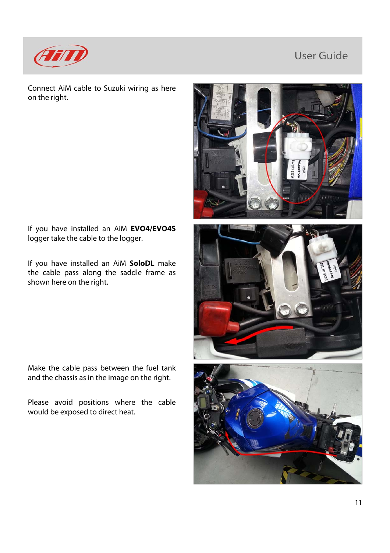

Connect AiM cable to Suzuki wiring as here on the right.

If you have installed an AiM **EVO4/EVO4S** logger take the cable to the logger.

If you have installed an AiM **SoloDL** make the cable pass along the saddle frame as shown here on the right.

Make the cable pass between the fuel tank and the chassis as in the image on the right.

Please avoid positions where the cable would be exposed to direct heat.





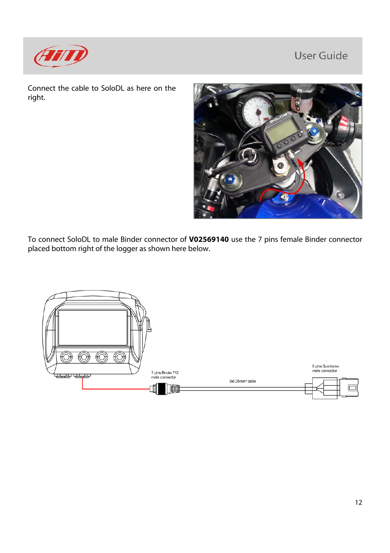

Connect the cable to SoloDL as here on the right.



To connect SoloDL to male Binder connector of **V02569140** use the 7 pins female Binder connector placed bottom right of the logger as shown here below.

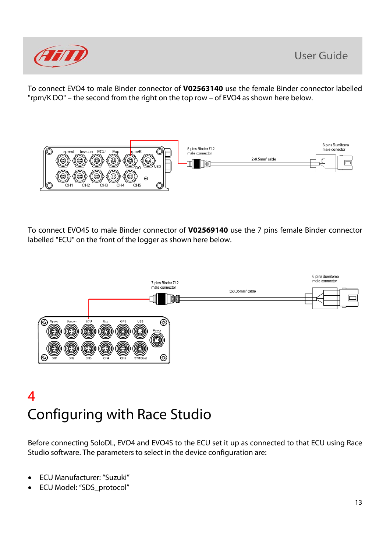

To connect EVO4 to male Binder connector of **V02563140** use the female Binder connector labelled "rpm/K DO" – the second from the right on the top row – of EVO4 as shown here below.



To connect EVO4S to male Binder connector of **V02569140** use the 7 pins female Binder connector labelled "ECU" on the front of the logger as shown here below.



#### 4 Configuring with Race Studio

Before connecting SoloDL, EVO4 and EVO4S to the ECU set it up as connected to that ECU using Race Studio software. The parameters to select in the device configuration are:

- ECU Manufacturer: "Suzuki"
- ECU Model: "SDS\_protocol"